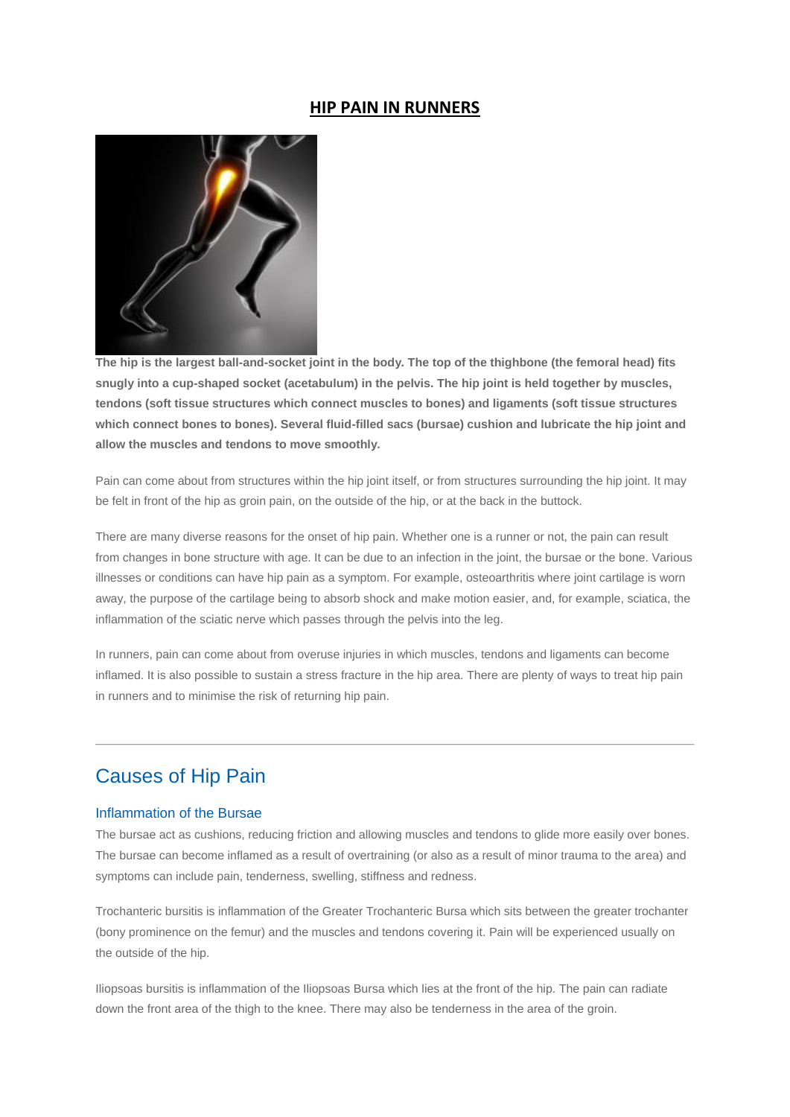### **HIP PAIN IN RUNNERS**



**The hip is the largest ball-and-socket joint in the body. The top of the thighbone (the femoral head) fits snugly into a cup-shaped socket (acetabulum) in the pelvis. The hip joint is held together by muscles, tendons (soft tissue structures which connect muscles to bones) and ligaments (soft tissue structures which connect bones to bones). Several fluid-filled sacs (bursae) cushion and lubricate the hip joint and allow the muscles and tendons to move smoothly.**

Pain can come about from structures within the hip joint itself, or from structures surrounding the hip joint. It may be felt in front of the hip as groin pain, on the outside of the hip, or at the back in the buttock.

There are many diverse reasons for the onset of hip pain. Whether one is a runner or not, the pain can result from changes in bone structure with age. It can be due to an infection in the joint, the bursae or the bone. Various illnesses or conditions can have hip pain as a symptom. For example, osteoarthritis where joint cartilage is worn away, the purpose of the cartilage being to absorb shock and make motion easier, and, for example, sciatica, the inflammation of the sciatic nerve which passes through the pelvis into the leg.

In runners, pain can come about from overuse injuries in which muscles, tendons and ligaments can become inflamed. It is also possible to sustain a stress fracture in the hip area. There are plenty of ways to treat hip pain in runners and to minimise the risk of returning hip pain.

## Causes of Hip Pain

#### Inflammation of the Bursae

The bursae act as cushions, reducing friction and allowing muscles and tendons to glide more easily over bones. The bursae can become inflamed as a result of overtraining (or also as a result of minor trauma to the area) and symptoms can include pain, tenderness, swelling, stiffness and redness.

Trochanteric bursitis is inflammation of the Greater Trochanteric Bursa which sits between the greater trochanter (bony prominence on the femur) and the muscles and tendons covering it. Pain will be experienced usually on the outside of the hip.

Iliopsoas bursitis is inflammation of the Iliopsoas Bursa which lies at the front of the hip. The pain can radiate down the front area of the thigh to the knee. There may also be tenderness in the area of the groin.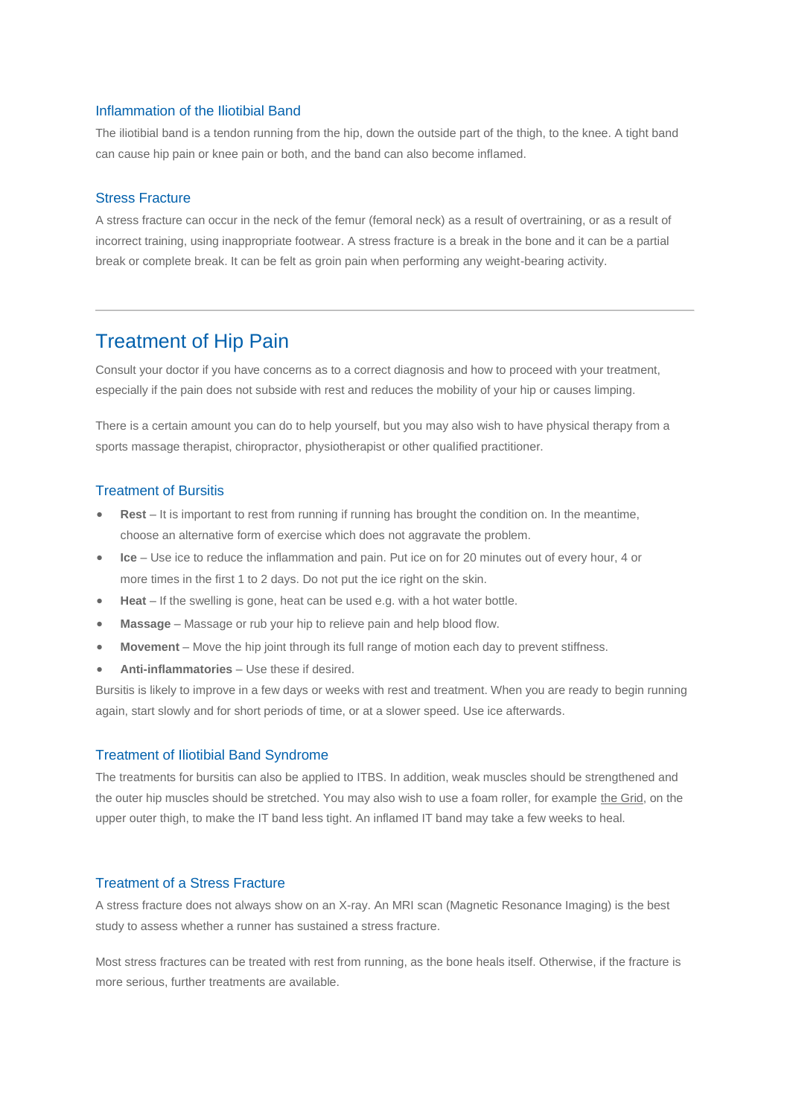#### Inflammation of the Iliotibial Band

The iliotibial band is a tendon running from the hip, down the outside part of the thigh, to the knee. A tight band can cause hip pain or knee pain or both, and the band can also become inflamed.

#### Stress Fracture

A stress fracture can occur in the neck of the femur (femoral neck) as a result of overtraining, or as a result of incorrect training, using inappropriate footwear. A stress fracture is a break in the bone and it can be a partial break or complete break. It can be felt as groin pain when performing any weight-bearing activity.

## Treatment of Hip Pain

Consult your doctor if you have concerns as to a correct diagnosis and how to proceed with your treatment, especially if the pain does not subside with rest and reduces the mobility of your hip or causes limping.

There is a certain amount you can do to help yourself, but you may also wish to have physical therapy from a sports massage therapist, chiropractor, physiotherapist or other qualified practitioner.

#### Treatment of Bursitis

- **Rest** It is important to rest from running if running has brought the condition on. In the meantime, choose an alternative form of exercise which does not aggravate the problem.
- **Ice** Use ice to reduce the inflammation and pain. Put ice on for 20 minutes out of every hour, 4 or more times in the first 1 to 2 days. Do not put the ice right on the skin.
- **Heat** If the swelling is gone, heat can be used e.g. with a hot water bottle.
- **Massage** Massage or rub your hip to relieve pain and help blood flow.
- **Movement** Move the hip joint through its full range of motion each day to prevent stiffness.
- **Anti-inflammatories** Use these if desired.

Bursitis is likely to improve in a few days or weeks with rest and treatment. When you are ready to begin running again, start slowly and for short periods of time, or at a slower speed. Use ice afterwards.

#### Treatment of Iliotibial Band Syndrome

The treatments for bursitis can also be applied to ITBS. In addition, weak muscles should be strengthened and the outer hip muscles should be stretched. You may also wish to use a foam roller, for example [the Grid,](https://www.runandbecome.com/Shop-Online/Accessories/Extras/Supports/The-Grid) on the upper outer thigh, to make the IT band less tight. An inflamed IT band may take a few weeks to heal.

### Treatment of a Stress Fracture

A stress fracture does not always show on an X-ray. An MRI scan (Magnetic Resonance Imaging) is the best study to assess whether a runner has sustained a stress fracture.

Most stress fractures can be treated with rest from running, as the bone heals itself. Otherwise, if the fracture is more serious, further treatments are available.